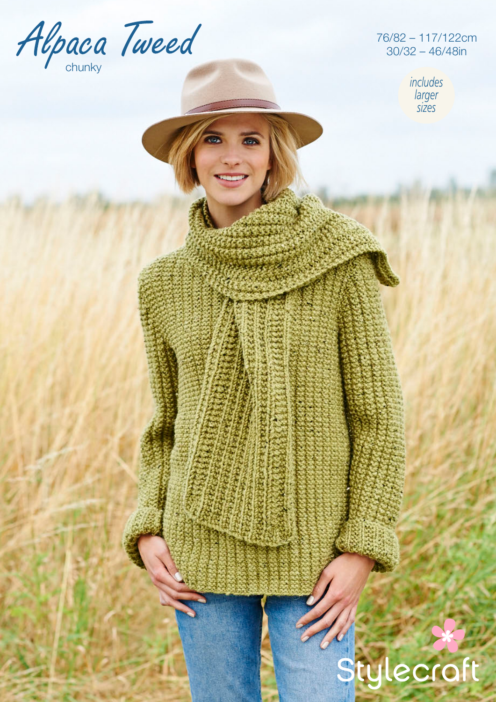

76/82 – 117/122cm 30/32 – 46/48in

> *includes larger sizes*

# Stylecraft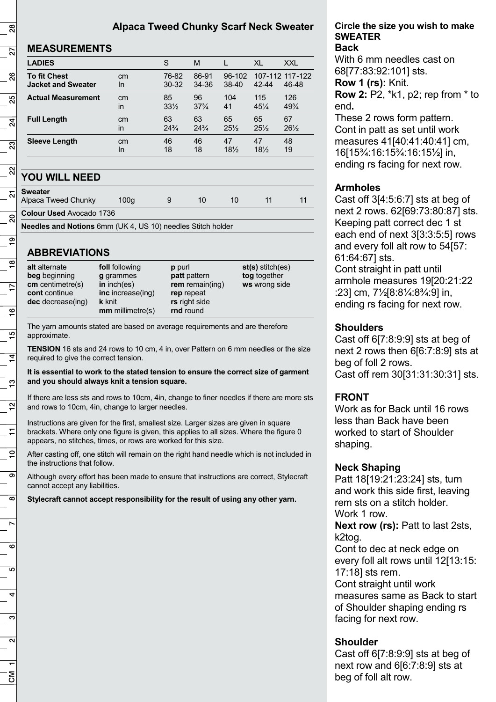## **Alpaca Tweed Chunky Scarf Neck Sweater**

#### **MEASUREMENTS**

| <b>LADIES</b>             |    | S               | М               |                 | XL              | <b>XXL</b>      |
|---------------------------|----|-----------------|-----------------|-----------------|-----------------|-----------------|
| <b>To fit Chest</b>       | cm | 76-82           | 86-91           | $96-102$        | $42 - 44$       | 107-112 117-122 |
| <b>Jacket and Sweater</b> | In | $30 - 32$       | 34-36           | $38-40$         |                 | 46-48           |
| <b>Actual Measurement</b> | cm | 85              | 96              | 104             | 115             | 126             |
|                           | in | $33\frac{1}{2}$ | $37\frac{3}{4}$ | 41              | $45\frac{1}{4}$ | $49\frac{3}{4}$ |
| <b>Full Length</b>        | cm | 63              | 63              | 65              | 65              | 67              |
|                           | in | $24\frac{3}{4}$ | $24\frac{3}{4}$ | $25\frac{1}{2}$ | $25\frac{1}{2}$ | $26\frac{1}{2}$ |
| <b>Sleeve Length</b>      | cm | 46              | 46              | 47              | 47              | 48              |
|                           | In | 18              | 18              | 18%             | 18%             | 19              |

## **YOU WILL NEED**

| $\frac{1}{\sqrt{2}}$ Sweater |  |
|------------------------------|--|
|                              |  |

Alpaca Tweed Chunky 100g 9 10 10 11 11

**Colour Used** Avocado 1736

**Needles and Notions** 6mm (UK 4, US 10) needles Stitch holder

## **ABBREVIATIONS**

| <b>rnd</b> round<br>$mm$ millimetre(s) |
|----------------------------------------|
|----------------------------------------|

The yarn amounts stated are based on average requirements and are therefore approximate.

**TENSION** 16 sts and 24 rows to 10 cm, 4 in, over Pattern on 6 mm needles or the size required to give the correct tension.

**It is essential to work to the stated tension to ensure the correct size of garment and you should always knit a tension square.**

If there are less sts and rows to 10cm, 4in, change to finer needles if there are more sts and rows to 10cm, 4in, change to larger needles.

Instructions are given for the first, smallest size. Larger sizes are given in square brackets. Where only one figure is given, this applies to all sizes. Where the figure 0 appears, no stitches, times, or rows are worked for this size.

After casting off, one stitch will remain on the right hand needle which is not included in the instructions that follow.

Although every effort has been made to ensure that instructions are correct, Stylecraft cannot accept any liabilities.

**Stylecraft cannot accept responsibility for the result of using any other yarn.**

#### **Circle the size you wish to make SWEATER Back**

With 6 mm needles cast on 68[77:83:92:101] sts.

**Row 1 (rs):** Knit.

**Row 2:** P2, \*k1, p2; rep from \* to end**.**

These 2 rows form pattern. Cont in patt as set until work measures 41[40:41:40:41] cm, 16[15¾:16:15¾:16:15½] in, ending rs facing for next row.

## **Armholes**

Cast off 3[4:5:6:7] sts at beg of next 2 rows. 62[69:73:80:87] sts. Keeping patt correct dec 1 st each end of next 3[3:3:5:5] rows and every foll alt row to 54[57: 61:64:67] sts. Cont straight in patt until armhole measures 19[20:21:22 :23] cm, 7½[8:8¼:8¾:9] in, ending rs facing for next row.

## **Shoulders**

Cast off 6[7:8:9:9] sts at beg of next 2 rows then 6[6:7:8:9] sts at beg of foll 2 rows. Cast off rem 30[31:31:30:31] sts.

## **FRONT**

Work as for Back until 16 rows less than Back have been worked to start of Shoulder shaping.

## **Neck Shaping**

Patt 18[19:21:23:24] sts, turn and work this side first, leaving rem sts on a stitch holder. Work 1 row.

**Next row (rs):** Patt to last 2sts, k2tog.

Cont to dec at neck edge on every foll alt rows until 12[13:15: 17:18] sts rem.

Cont straight until work measures same as Back to start of Shoulder shaping ending rs facing for next row.

## **Shoulder**

Cast off 6[7:8:9:9] sts at beg of next row and 6[6:7:8:9] sts at beg of foll alt row.